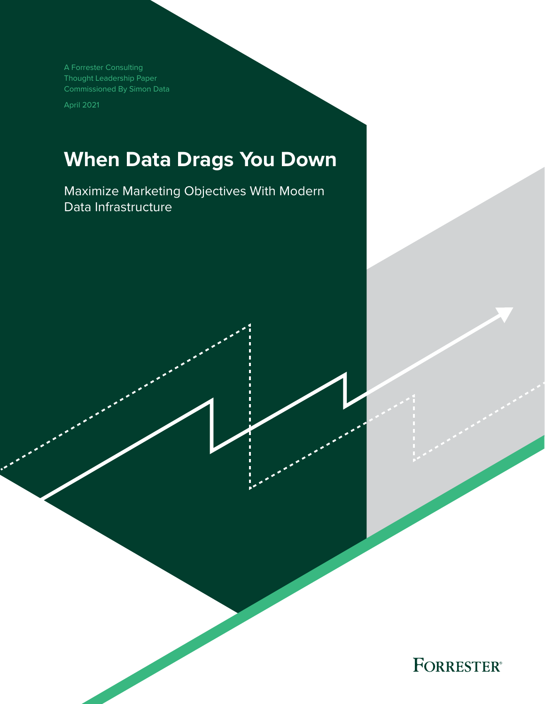A Forrester Consulting Thought Leadership Paper Commissioned By Simon Data

April 2021

# **When Data Drags You Down**

Maximize Marketing Objectives With Modern Data Infrastructure

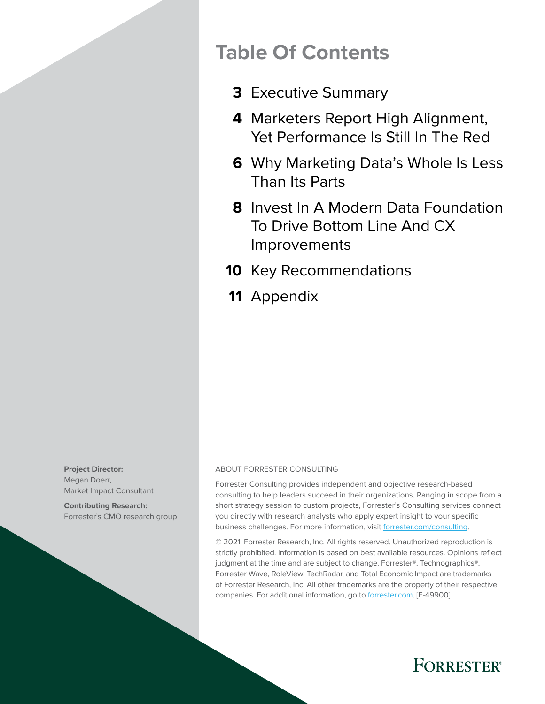## **Table Of Contents**

- [Executive Summary](#page-2-0) **3**
- [Marketers Report High Alignment,](#page-3-0)  **4** [Yet Performance Is Still In The Red](#page-3-0)
- [Why Marketing Data's Whole Is Less](#page-5-0)  **6** [Than Its Parts](#page-5-0)
- **8** Invest In A Modern Data Foundation [To Drive Bottom Line And CX](#page-7-0)  [Improvements](#page-7-0)
- **10** [Key Recommendations](#page-9-0)
- 11 [Appendix](#page-10-0)

**Project Director:**  Megan Doerr, Market Impact Consultant

**Contributing Research:**  Forrester's CMO research group

#### ABOUT FORRESTER CONSULTING

Forrester Consulting provides independent and objective research-based consulting to help leaders succeed in their organizations. Ranging in scope from a short strategy session to custom projects, Forrester's Consulting services connect you directly with research analysts who apply expert insight to your specific business challenges. For more information, visit [forrester.com/consulting.](https://go.forrester.com/consulting/)

© 2021, Forrester Research, Inc. All rights reserved. Unauthorized reproduction is strictly prohibited. Information is based on best available resources. Opinions reflect judgment at the time and are subject to change. Forrester®, Technographics®, Forrester Wave, RoleView, TechRadar, and Total Economic Impact are trademarks of Forrester Research, Inc. All other trademarks are the property of their respective companies. For additional information, go to [forrester.com.](https://www.forrester.com/home/) [E-49900]

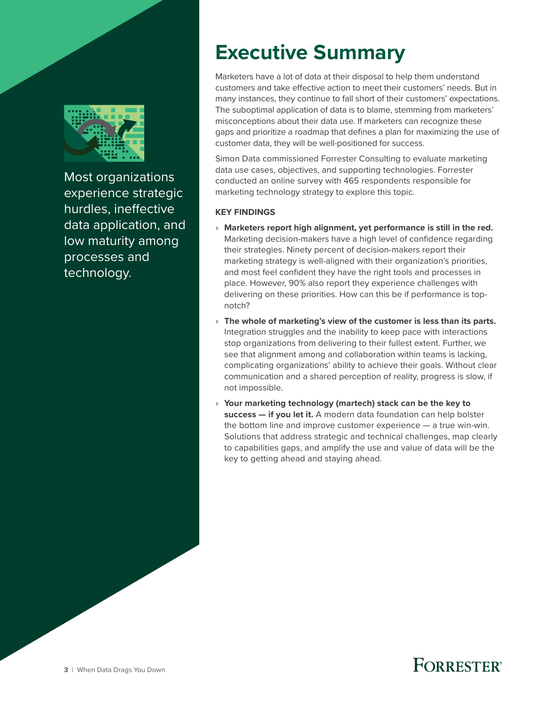<span id="page-2-0"></span>

Most organizations experience strategic hurdles, ineffective data application, and low maturity among processes and technology.

# **Executive Summary**

Marketers have a lot of data at their disposal to help them understand customers and take effective action to meet their customers' needs. But in many instances, they continue to fall short of their customers' expectations. The suboptimal application of data is to blame, stemming from marketers' misconceptions about their data use. If marketers can recognize these gaps and prioritize a roadmap that defines a plan for maximizing the use of customer data, they will be well-positioned for success.

Simon Data commissioned Forrester Consulting to evaluate marketing data use cases, objectives, and supporting technologies. Forrester conducted an online survey with 465 respondents responsible for marketing technology strategy to explore this topic.

### **KEY FINDINGS**

- › **Marketers report high alignment, yet performance is still in the red.** Marketing decision-makers have a high level of confidence regarding their strategies. Ninety percent of decision-makers report their marketing strategy is well-aligned with their organization's priorities, and most feel confident they have the right tools and processes in place. However, 90% also report they experience challenges with delivering on these priorities. How can this be if performance is topnotch?
- › **The whole of marketing's view of the customer is less than its parts.** Integration struggles and the inability to keep pace with interactions stop organizations from delivering to their fullest extent. Further, we see that alignment among and collaboration within teams is lacking, complicating organizations' ability to achieve their goals. Without clear communication and a shared perception of reality, progress is slow, if not impossible.
- › **Your marketing technology (martech) stack can be the key to success — if you let it.** A modern data foundation can help bolster the bottom line and improve customer experience — a true win-win. Solutions that address strategic and technical challenges, map clearly to capabilities gaps, and amplify the use and value of data will be the key to getting ahead and staying ahead.

### **FORRESTER®**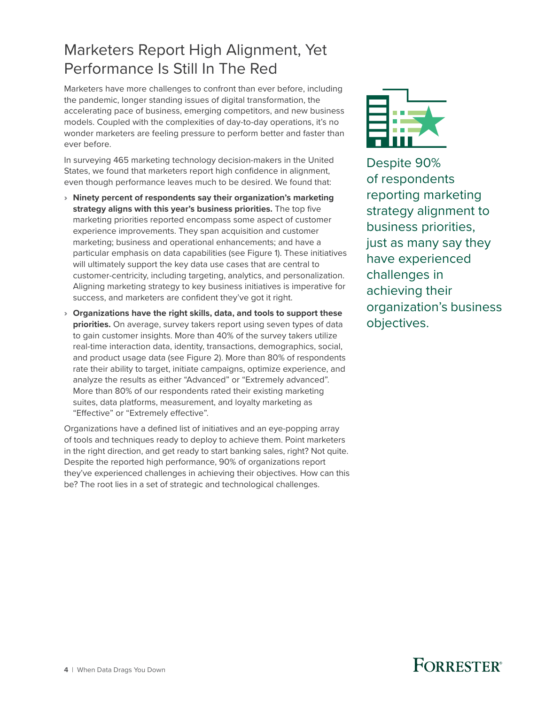### <span id="page-3-0"></span>Marketers Report High Alignment, Yet Performance Is Still In The Red

Marketers have more challenges to confront than ever before, including the pandemic, longer standing issues of digital transformation, the accelerating pace of business, emerging competitors, and new business models. Coupled with the complexities of day-to-day operations, it's no wonder marketers are feeling pressure to perform better and faster than ever before.

In surveying 465 marketing technology decision-makers in the United States, we found that marketers report high confidence in alignment, even though performance leaves much to be desired. We found that:

- › **Ninety percent of respondents say their organization's marketing strategy aligns with this year's business priorities.** The top five marketing priorities reported encompass some aspect of customer experience improvements. They span acquisition and customer marketing; business and operational enhancements; and have a particular emphasis on data capabilities (see Figure 1). These initiatives will ultimately support the key data use cases that are central to customer-centricity, including targeting, analytics, and personalization. Aligning marketing strategy to key business initiatives is imperative for success, and marketers are confident they've got it right.
- › **Organizations have the right skills, data, and tools to support these priorities.** On average, survey takers report using seven types of data to gain customer insights. More than 40% of the survey takers utilize real-time interaction data, identity, transactions, demographics, social, and product usage data (see Figure 2). More than 80% of respondents rate their ability to target, initiate campaigns, optimize experience, and analyze the results as either "Advanced" or "Extremely advanced". More than 80% of our respondents rated their existing marketing suites, data platforms, measurement, and loyalty marketing as "Effective" or "Extremely effective".

Organizations have a defined list of initiatives and an eye-popping array of tools and techniques ready to deploy to achieve them. Point marketers in the right direction, and get ready to start banking sales, right? Not quite. Despite the reported high performance, 90% of organizations report they've experienced challenges in achieving their objectives. How can this be? The root lies in a set of strategic and technological challenges.



Despite 90% of respondents reporting marketing strategy alignment to business priorities, just as many say they have experienced challenges in achieving their organization's business objectives.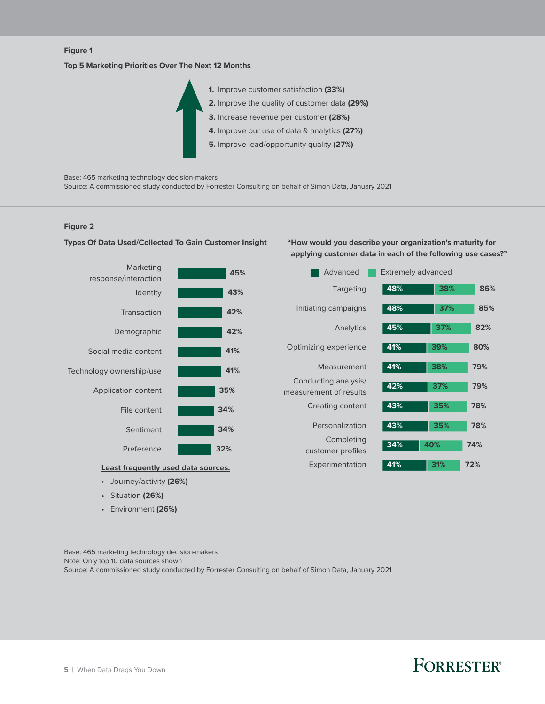### Full page **Figure 1**

#### **Top 5 Marketing Priorities Over The Next 12 Months**



Base: 465 marketing technology decision-makers

Source: A commissioned study conducted by Forrester Consulting on behalf of Simon Data, January 2021

#### **Figure 2**



• Journey/activity **(26%)**

• Situation **(26%)** • Environment **(26%)**

**Types Of Data Used/Collected To Gain Customer Insight**

**"How would you describe your organization's maturity for applying customer data in each of the following use cases?"**



Base: 465 marketing technology decision-makers Note: Only top 10 data sources shown Source: A commissioned study conducted by Forrester Consulting on behalf of Simon Data, January 2021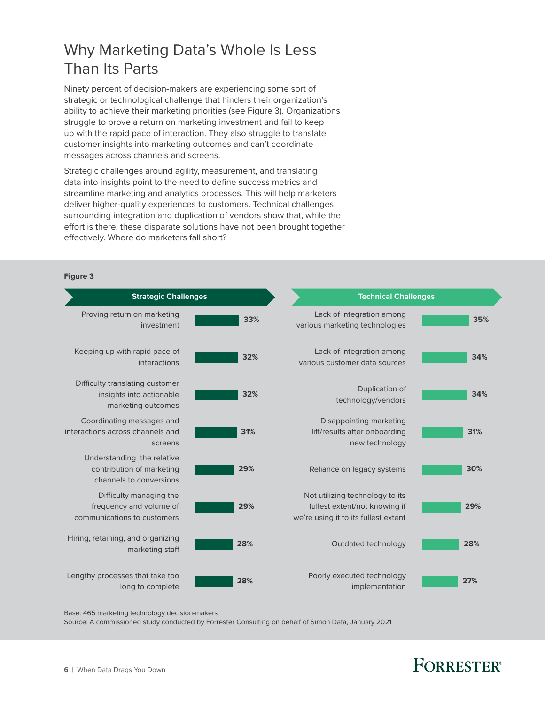### <span id="page-5-0"></span>Why Marketing Data's Whole Is Less Than Its Parts

Ninety percent of decision-makers are experiencing some sort of strategic or technological challenge that hinders their organization's ability to achieve their marketing priorities (see Figure 3). Organizations struggle to prove a return on marketing investment and fail to keep up with the rapid pace of interaction. They also struggle to translate customer insights into marketing outcomes and can't coordinate messages across channels and screens.

Strategic challenges around agility, measurement, and translating data into insights point to the need to define success metrics and streamline marketing and analytics processes. This will help marketers deliver higher-quality experiences to customers. Technical challenges surrounding integration and duplication of vendors show that, while the effort is there, these disparate solutions have not been brought together effectively. Where do marketers fall short?

|     |                                                                                                          |     | Figure 3                                                                           |
|-----|----------------------------------------------------------------------------------------------------------|-----|------------------------------------------------------------------------------------|
|     | <b>Technical Challenges</b>                                                                              |     | <b>Strategic Challenges</b>                                                        |
| 35% | Lack of integration among<br>various marketing technologies                                              | 33% | Proving return on marketing<br>investment                                          |
| 34% | Lack of integration among<br>various customer data sources                                               | 32% | Keeping up with rapid pace of<br>interactions                                      |
| 34% | Duplication of<br>technology/vendors                                                                     | 32% | Difficulty translating customer<br>insights into actionable<br>marketing outcomes  |
| 31% | Disappointing marketing<br>lift/results after onboarding<br>new technology                               | 31% | Coordinating messages and<br>interactions across channels and<br>screens           |
| 30% | Reliance on legacy systems                                                                               | 29% | Understanding the relative<br>contribution of marketing<br>channels to conversions |
| 29% | Not utilizing technology to its<br>fullest extent/not knowing if<br>we're using it to its fullest extent | 29% | Difficulty managing the<br>frequency and volume of<br>communications to customers  |
| 28% | Outdated technology                                                                                      | 28% | Hiring, retaining, and organizing<br>marketing staff                               |
| 27% | Poorly executed technology<br>implementation                                                             | 28% | Lengthy processes that take too<br>long to complete                                |

Base: 465 marketing technology decision-makers

Source: A commissioned study conducted by Forrester Consulting on behalf of Simon Data, January 2021

# FORRESTER®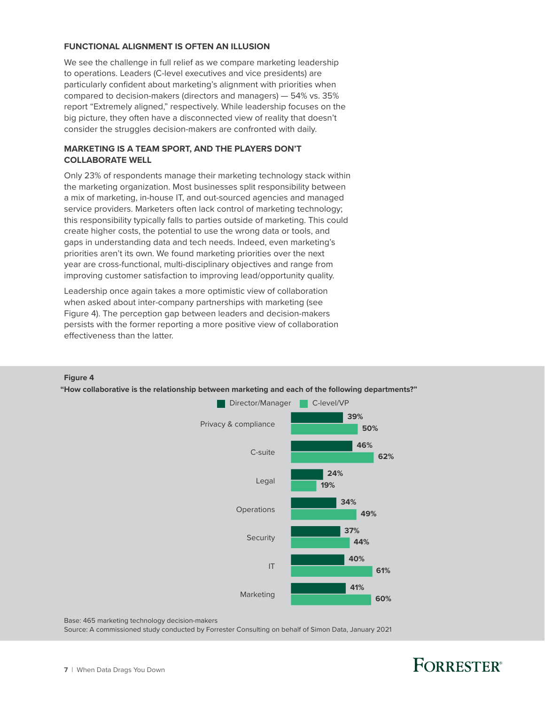#### **FUNCTIONAL ALIGNMENT IS OFTEN AN ILLUSION**

We see the challenge in full relief as we compare marketing leadership to operations. Leaders (C-level executives and vice presidents) are particularly confident about marketing's alignment with priorities when compared to decision-makers (directors and managers) — 54% vs. 35% report "Extremely aligned," respectively. While leadership focuses on the big picture, they often have a disconnected view of reality that doesn't consider the struggles decision-makers are confronted with daily.

#### **MARKETING IS A TEAM SPORT, AND THE PLAYERS DON'T COLLABORATE WELL**

Only 23% of respondents manage their marketing technology stack within the marketing organization. Most businesses split responsibility between a mix of marketing, in-house IT, and out-sourced agencies and managed service providers. Marketers often lack control of marketing technology; this responsibility typically falls to parties outside of marketing. This could create higher costs, the potential to use the wrong data or tools, and gaps in understanding data and tech needs. Indeed, even marketing's priorities aren't its own. We found marketing priorities over the next year are cross-functional, multi-disciplinary objectives and range from improving customer satisfaction to improving lead/opportunity quality.

Leadership once again takes a more optimistic view of collaboration when asked about inter-company partnerships with marketing (see Figure 4). The perception gap between leaders and decision-makers persists with the former reporting a more positive view of collaboration effectiveness than the latter.



#### **Figure 4**

**"How collaborative is the relationship between marketing and each of the following departments?"**

Base: 465 marketing technology decision-makers

Source: A commissioned study conducted by Forrester Consulting on behalf of Simon Data, January 2021

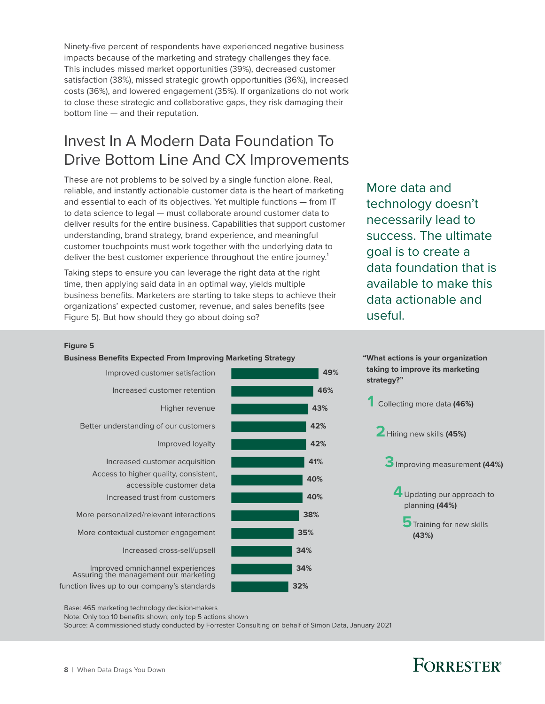<span id="page-7-0"></span>Ninety-five percent of respondents have experienced negative business impacts because of the marketing and strategy challenges they face. This includes missed market opportunities (39%), decreased customer satisfaction (38%), missed strategic growth opportunities (36%), increased costs (36%), and lowered engagement (35%). If organizations do not work to close these strategic and collaborative gaps, they risk damaging their bottom line — and their reputation.

### Invest In A Modern Data Foundation To Drive Bottom Line And CX Improvements

These are not problems to be solved by a single function alone. Real, reliable, and instantly actionable customer data is the heart of marketing and essential to each of its objectives. Yet multiple functions — from IT to data science to legal — must collaborate around customer data to deliver results for the entire business. Capabilities that support customer understanding, brand strategy, brand experience, and meaningful customer touchpoints must work together with the underlying data to deliver the best customer experience throughout the entire journey.<sup>1</sup>

Taking steps to ensure you can leverage the right data at the right time, then applying said data in an optimal way, yields multiple business benefits. Marketers are starting to take steps to achieve their organizations' expected customer, revenue, and sales benefits (see Figure 5). But how should they go about doing so?

More data and technology doesn't necessarily lead to success. The ultimate goal is to create a data foundation that is available to make this data actionable and useful.

#### **Figure 5**

#### **Business Benefits Expected From Improving Marketing Strategy "What actions is your organization**





Base: 465 marketing technology decision-makers

Note: Only top 10 benefits shown; only top 5 actions shown

Source: A commissioned study conducted by Forrester Consulting on behalf of Simon Data, January 2021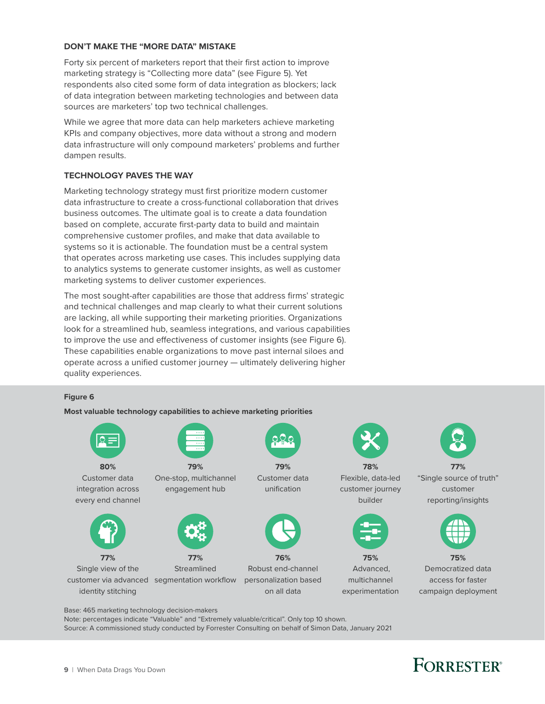#### **DON'T MAKE THE "MORE DATA" MISTAKE**

Forty six percent of marketers report that their first action to improve marketing strategy is "Collecting more data" (see Figure 5). Yet respondents also cited some form of data integration as blockers; lack of data integration between marketing technologies and between data sources are marketers' top two technical challenges.

While we agree that more data can help marketers achieve marketing KPIs and company objectives, more data without a strong and modern data infrastructure will only compound marketers' problems and further dampen results.

#### **TECHNOLOGY PAVES THE WAY**

Marketing technology strategy must first prioritize modern customer data infrastructure to create a cross-functional collaboration that drives business outcomes. The ultimate goal is to create a data foundation based on complete, accurate first-party data to build and maintain comprehensive customer profiles, and make that data available to systems so it is actionable. The foundation must be a central system that operates across marketing use cases. This includes supplying data to analytics systems to generate customer insights, as well as customer marketing systems to deliver customer experiences.

The most sought-after capabilities are those that address firms' strategic and technical challenges and map clearly to what their current solutions are lacking, all while supporting their marketing priorities. Organizations look for a streamlined hub, seamless integrations, and various capabilities to improve the use and effectiveness of customer insights (see Figure 6). These capabilities enable organizations to move past internal siloes and operate across a unified customer journey — ultimately delivering higher quality experiences.

### Full page **Figure 6**

**Most valuable technology capabilities to achieve marketing priorities**



Base: 465 marketing technology decision-makers

Note: percentages indicate "Valuable" and "Extremely valuable/critical". Only top 10 shown. Source: A commissioned study conducted by Forrester Consulting on behalf of Simon Data, January 2021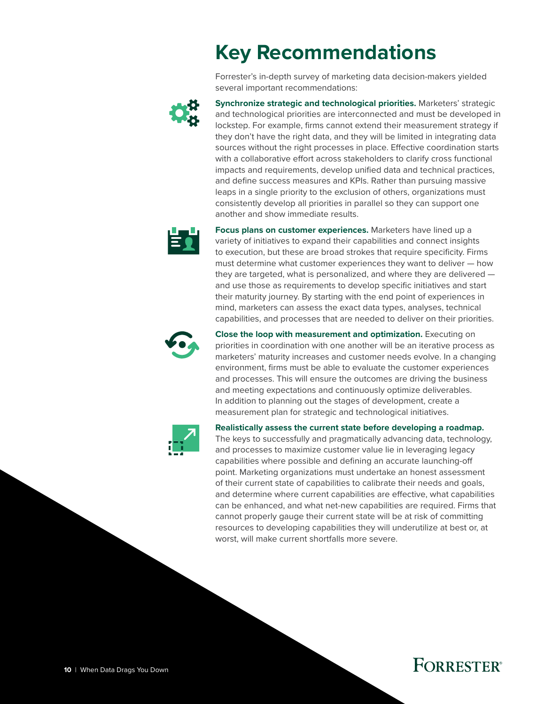# **Key Recommendations**

Forrester's in-depth survey of marketing data decision-makers yielded several important recommendations:

<span id="page-9-0"></span>

**Synchronize strategic and technological priorities.** Marketers' strategic and technological priorities are interconnected and must be developed in lockstep. For example, firms cannot extend their measurement strategy if they don't have the right data, and they will be limited in integrating data sources without the right processes in place. Effective coordination starts with a collaborative effort across stakeholders to clarify cross functional impacts and requirements, develop unified data and technical practices, and define success measures and KPIs. Rather than pursuing massive leaps in a single priority to the exclusion of others, organizations must consistently develop all priorities in parallel so they can support one another and show immediate results.



**Focus plans on customer experiences.** Marketers have lined up a variety of initiatives to expand their capabilities and connect insights to execution, but these are broad strokes that require specificity. Firms must determine what customer experiences they want to deliver — how they are targeted, what is personalized, and where they are delivered and use those as requirements to develop specific initiatives and start their maturity journey. By starting with the end point of experiences in mind, marketers can assess the exact data types, analyses, technical capabilities, and processes that are needed to deliver on their priorities.



**Close the loop with measurement and optimization.** Executing on priorities in coordination with one another will be an iterative process as marketers' maturity increases and customer needs evolve. In a changing environment, firms must be able to evaluate the customer experiences and processes. This will ensure the outcomes are driving the business and meeting expectations and continuously optimize deliverables. In addition to planning out the stages of development, create a measurement plan for strategic and technological initiatives.



**Realistically assess the current state before developing a roadmap.**

The keys to successfully and pragmatically advancing data, technology, and processes to maximize customer value lie in leveraging legacy capabilities where possible and defining an accurate launching-off point. Marketing organizations must undertake an honest assessment of their current state of capabilities to calibrate their needs and goals, and determine where current capabilities are effective, what capabilities can be enhanced, and what net-new capabilities are required. Firms that cannot properly gauge their current state will be at risk of committing resources to developing capabilities they will underutilize at best or, at worst, will make current shortfalls more severe.